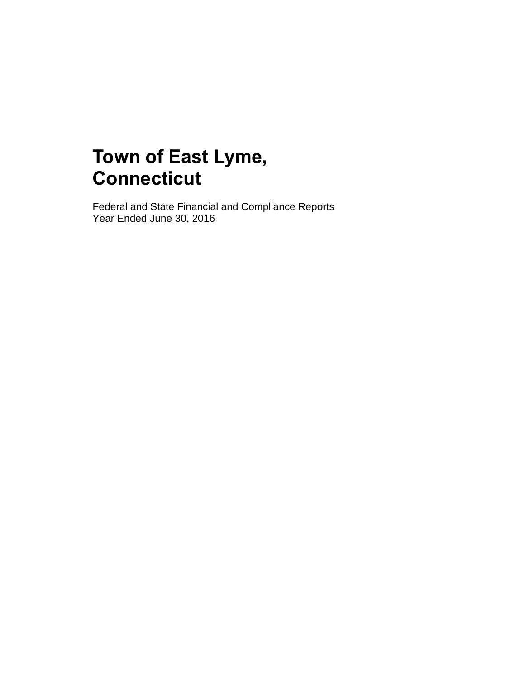Federal and State Financial and Compliance Reports Year Ended June 30, 2016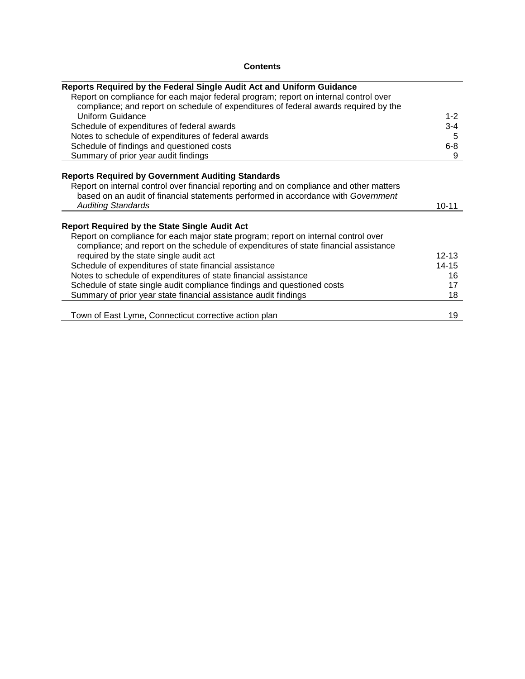# **Contents**

| Reports Required by the Federal Single Audit Act and Uniform Guidance                   |           |
|-----------------------------------------------------------------------------------------|-----------|
| Report on compliance for each major federal program; report on internal control over    |           |
| compliance; and report on schedule of expenditures of federal awards required by the    |           |
| Uniform Guidance                                                                        | $1 - 2$   |
| Schedule of expenditures of federal awards                                              | $3 - 4$   |
|                                                                                         |           |
| Notes to schedule of expenditures of federal awards                                     | 5         |
| Schedule of findings and questioned costs                                               | $6 - 8$   |
| Summary of prior year audit findings                                                    | 9         |
|                                                                                         |           |
| <b>Reports Required by Government Auditing Standards</b>                                |           |
| Report on internal control over financial reporting and on compliance and other matters |           |
| based on an audit of financial statements performed in accordance with Government       |           |
| <b>Auditing Standards</b>                                                               | $10 - 11$ |
|                                                                                         |           |
| <b>Report Required by the State Single Audit Act</b>                                    |           |
| Report on compliance for each major state program; report on internal control over      |           |
| compliance; and report on the schedule of expenditures of state financial assistance    |           |
| required by the state single audit act                                                  | $12 - 13$ |
| Schedule of expenditures of state financial assistance                                  | $14 - 15$ |
| Notes to schedule of expenditures of state financial assistance                         | 16        |
|                                                                                         |           |
| Schedule of state single audit compliance findings and questioned costs                 | 17        |
| Summary of prior year state financial assistance audit findings                         | 18        |
| Town of East Lyme, Connecticut corrective action plan                                   | 19        |
|                                                                                         |           |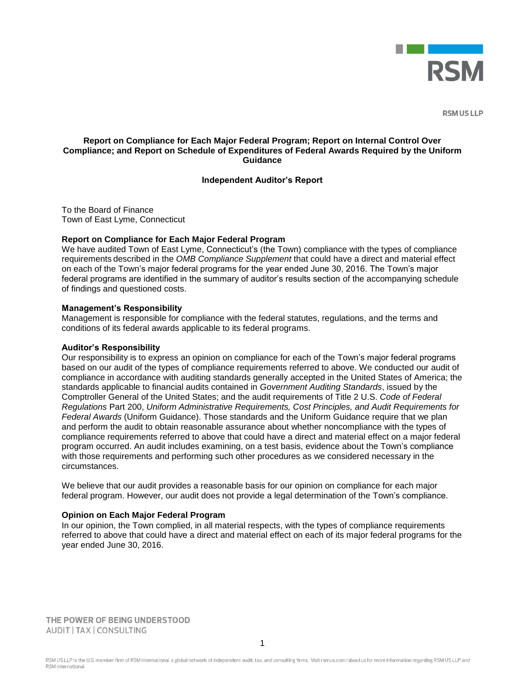

**RSM US LLP** 

# **Report on Compliance for Each Major Federal Program; Report on Internal Control Over Compliance; and Report on Schedule of Expenditures of Federal Awards Required by the Uniform Guidance**

#### **Independent Auditor's Report**

To the Board of Finance Town of East Lyme, Connecticut

#### **Report on Compliance for Each Major Federal Program**

We have audited Town of East Lyme, Connecticut's (the Town) compliance with the types of compliance requirements described in the *OMB Compliance Supplement* that could have a direct and material effect on each of the Town's major federal programs for the year ended June 30, 2016. The Town's major federal programs are identified in the summary of auditor's results section of the accompanying schedule of findings and questioned costs.

#### **Management's Responsibility**

Management is responsible for compliance with the federal statutes, regulations, and the terms and conditions of its federal awards applicable to its federal programs.

#### **Auditor's Responsibility**

Our responsibility is to express an opinion on compliance for each of the Town's major federal programs based on our audit of the types of compliance requirements referred to above. We conducted our audit of compliance in accordance with auditing standards generally accepted in the United States of America; the standards applicable to financial audits contained in *Government Auditing Standards*, issued by the Comptroller General of the United States; and the audit requirements of Title 2 U.S. *Code of Federal Regulations* Part 200, *Uniform Administrative Requirements, Cost Principles, and Audit Requirements for Federal Awards* (Uniform Guidance). Those standards and the Uniform Guidance require that we plan and perform the audit to obtain reasonable assurance about whether noncompliance with the types of compliance requirements referred to above that could have a direct and material effect on a major federal program occurred. An audit includes examining, on a test basis, evidence about the Town's compliance with those requirements and performing such other procedures as we considered necessary in the circumstances.

We believe that our audit provides a reasonable basis for our opinion on compliance for each major federal program. However, our audit does not provide a legal determination of the Town's compliance.

# **Opinion on Each Major Federal Program**

In our opinion, the Town complied, in all material respects, with the types of compliance requirements referred to above that could have a direct and material effect on each of its major federal programs for the year ended June 30, 2016.

THE POWER OF BEING UNDERSTOOD AUDIT | TAX | CONSULTING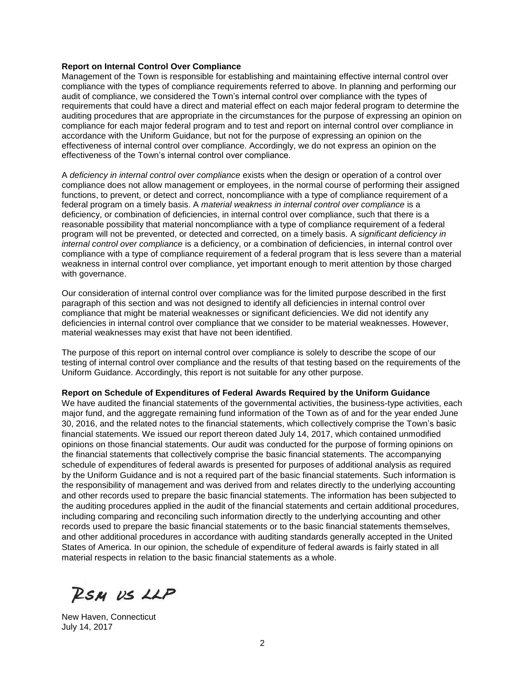#### **Report on Internal Control Over Compliance**

Management of the Town is responsible for establishing and maintaining effective internal control over compliance with the types of compliance requirements referred to above. In planning and performing our audit of compliance, we considered the Town's internal control over compliance with the types of requirements that could have a direct and material effect on each major federal program to determine the auditing procedures that are appropriate in the circumstances for the purpose of expressing an opinion on compliance for each major federal program and to test and report on internal control over compliance in accordance with the Uniform Guidance, but not for the purpose of expressing an opinion on the effectiveness of internal control over compliance. Accordingly, we do not express an opinion on the effectiveness of the Town's internal control over compliance.

A *deficiency in internal control over compliance* exists when the design or operation of a control over compliance does not allow management or employees, in the normal course of performing their assigned functions, to prevent, or detect and correct, noncompliance with a type of compliance requirement of a federal program on a timely basis. A *material weakness in internal control over compliance* is a deficiency, or combination of deficiencies, in internal control over compliance, such that there is a reasonable possibility that material noncompliance with a type of compliance requirement of a federal program will not be prevented, or detected and corrected, on a timely basis. A *significant deficiency in internal control over compliance* is a deficiency, or a combination of deficiencies, in internal control over compliance with a type of compliance requirement of a federal program that is less severe than a material weakness in internal control over compliance, yet important enough to merit attention by those charged with governance.

Our consideration of internal control over compliance was for the limited purpose described in the first paragraph of this section and was not designed to identify all deficiencies in internal control over compliance that might be material weaknesses or significant deficiencies. We did not identify any deficiencies in internal control over compliance that we consider to be material weaknesses. However, material weaknesses may exist that have not been identified.

The purpose of this report on internal control over compliance is solely to describe the scope of our testing of internal control over compliance and the results of that testing based on the requirements of the Uniform Guidance. Accordingly, this report is not suitable for any other purpose.

#### **Report on Schedule of Expenditures of Federal Awards Required by the Uniform Guidance**

We have audited the financial statements of the governmental activities, the business-type activities, each major fund, and the aggregate remaining fund information of the Town as of and for the year ended June 30, 2016, and the related notes to the financial statements, which collectively comprise the Town's basic financial statements. We issued our report thereon dated July 14, 2017, which contained unmodified opinions on those financial statements. Our audit was conducted for the purpose of forming opinions on the financial statements that collectively comprise the basic financial statements. The accompanying schedule of expenditures of federal awards is presented for purposes of additional analysis as required by the Uniform Guidance and is not a required part of the basic financial statements. Such information is the responsibility of management and was derived from and relates directly to the underlying accounting and other records used to prepare the basic financial statements. The information has been subjected to the auditing procedures applied in the audit of the financial statements and certain additional procedures, including comparing and reconciling such information directly to the underlying accounting and other records used to prepare the basic financial statements or to the basic financial statements themselves, and other additional procedures in accordance with auditing standards generally accepted in the United States of America. In our opinion, the schedule of expenditure of federal awards is fairly stated in all material respects in relation to the basic financial statements as a whole.

RSM US LLP

New Haven, Connecticut July 14, 2017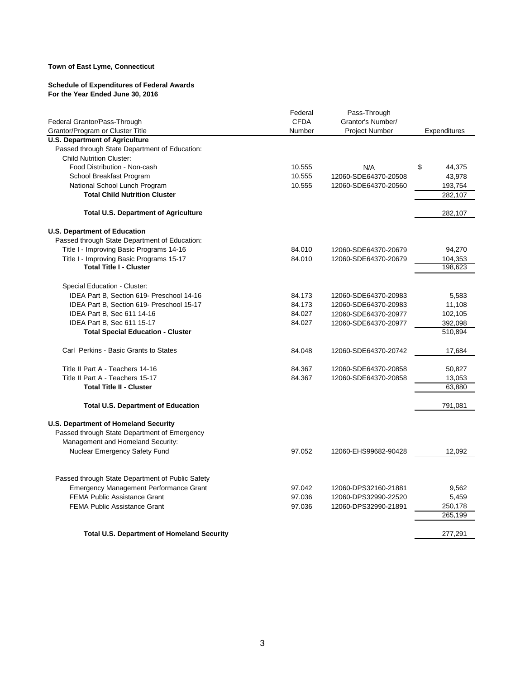#### **Schedule of Expenditures of Federal Awards For the Year Ended June 30, 2016**

|                                                   | Federal     | Pass-Through         |                    |
|---------------------------------------------------|-------------|----------------------|--------------------|
| Federal Grantor/Pass-Through                      | <b>CFDA</b> | Grantor's Number/    |                    |
| Grantor/Program or Cluster Title                  | Number      | Project Number       | Expenditures       |
| <b>U.S. Department of Agriculture</b>             |             |                      |                    |
| Passed through State Department of Education:     |             |                      |                    |
| <b>Child Nutrition Cluster:</b>                   |             |                      |                    |
| Food Distribution - Non-cash                      | 10.555      | N/A                  | \$<br>44,375       |
| School Breakfast Program                          | 10.555      | 12060-SDE64370-20508 | 43,978             |
| National School Lunch Program                     | 10.555      | 12060-SDE64370-20560 | 193,754            |
| <b>Total Child Nutrition Cluster</b>              |             |                      | 282,107            |
| <b>Total U.S. Department of Agriculture</b>       |             |                      | 282,107            |
| <b>U.S. Department of Education</b>               |             |                      |                    |
| Passed through State Department of Education:     |             |                      |                    |
| Title I - Improving Basic Programs 14-16          | 84.010      | 12060-SDE64370-20679 | 94,270             |
| Title I - Improving Basic Programs 15-17          | 84.010      | 12060-SDE64370-20679 | 104,353            |
| <b>Total Title I - Cluster</b>                    |             |                      | 198,623            |
| Special Education - Cluster:                      |             |                      |                    |
| IDEA Part B, Section 619- Preschool 14-16         | 84.173      | 12060-SDE64370-20983 | 5,583              |
| IDEA Part B, Section 619- Preschool 15-17         | 84.173      | 12060-SDE64370-20983 | 11,108             |
| IDEA Part B, Sec 611 14-16                        | 84.027      | 12060-SDE64370-20977 | 102,105            |
| IDEA Part B, Sec 611 15-17                        | 84.027      | 12060-SDE64370-20977 |                    |
| <b>Total Special Education - Cluster</b>          |             |                      | 392,098<br>510,894 |
|                                                   |             |                      |                    |
| Carl Perkins - Basic Grants to States             | 84.048      | 12060-SDE64370-20742 | 17,684             |
| Title II Part A - Teachers 14-16                  | 84.367      | 12060-SDE64370-20858 | 50,827             |
| Title II Part A - Teachers 15-17                  | 84.367      | 12060-SDE64370-20858 | 13,053             |
| <b>Total Title II - Cluster</b>                   |             |                      | 63,880             |
|                                                   |             |                      |                    |
| <b>Total U.S. Department of Education</b>         |             |                      | 791,081            |
| U.S. Department of Homeland Security              |             |                      |                    |
| Passed through State Department of Emergency      |             |                      |                    |
| Management and Homeland Security:                 |             |                      |                    |
| Nuclear Emergency Safety Fund                     | 97.052      | 12060-EHS99682-90428 | 12,092             |
|                                                   |             |                      |                    |
| Passed through State Department of Public Safety  |             |                      |                    |
| <b>Emergency Management Performance Grant</b>     | 97.042      | 12060-DPS32160-21881 | 9,562              |
| <b>FEMA Public Assistance Grant</b>               | 97.036      | 12060-DPS32990-22520 | 5,459              |
| <b>FEMA Public Assistance Grant</b>               | 97.036      | 12060-DPS32990-21891 | 250,178            |
|                                                   |             |                      | 265,199            |
|                                                   |             |                      |                    |
| <b>Total U.S. Department of Homeland Security</b> |             |                      | 277,291            |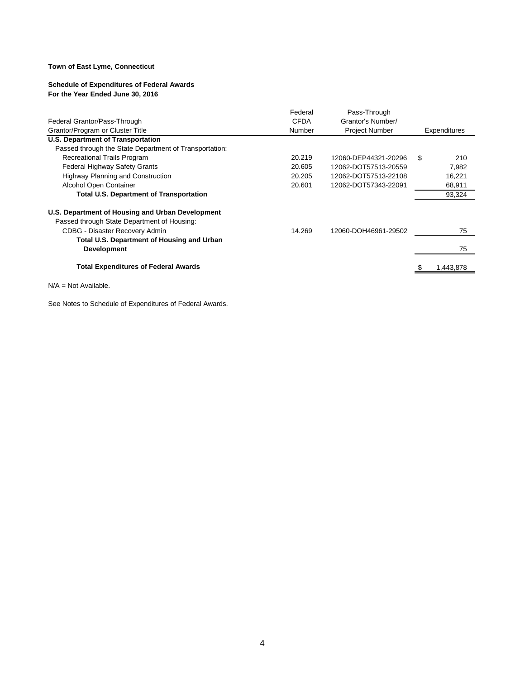#### **Schedule of Expenditures of Federal Awards For the Year Ended June 30, 2016**

|                                                        | Federal       | Pass-Through          |              |
|--------------------------------------------------------|---------------|-----------------------|--------------|
| Federal Grantor/Pass-Through                           | <b>CFDA</b>   | Grantor's Number/     |              |
| Grantor/Program or Cluster Title                       | <b>Number</b> | <b>Project Number</b> | Expenditures |
| <b>U.S. Department of Transportation</b>               |               |                       |              |
| Passed through the State Department of Transportation: |               |                       |              |
| <b>Recreational Trails Program</b>                     | 20.219        | 12060-DEP44321-20296  | S<br>210     |
| Federal Highway Safety Grants                          | 20.605        | 12062-DOT57513-20559  | 7,982        |
| <b>Highway Planning and Construction</b>               | 20.205        | 12062-DOT57513-22108  | 16,221       |
| Alcohol Open Container                                 | 20.601        | 12062-DOT57343-22091  | 68,911       |
| Total U.S. Department of Transportation                |               |                       | 93,324       |
| U.S. Department of Housing and Urban Development       |               |                       |              |
| Passed through State Department of Housing:            |               |                       |              |
| CDBG - Disaster Recovery Admin                         | 14.269        | 12060-DOH46961-29502  | 75           |
| Total U.S. Department of Housing and Urban             |               |                       |              |
| <b>Development</b>                                     |               |                       | 75           |
| Total Expenditures of Federal Awards                   |               |                       | .443.878     |
|                                                        |               |                       |              |

N/A = Not Available.

See Notes to Schedule of Expenditures of Federal Awards.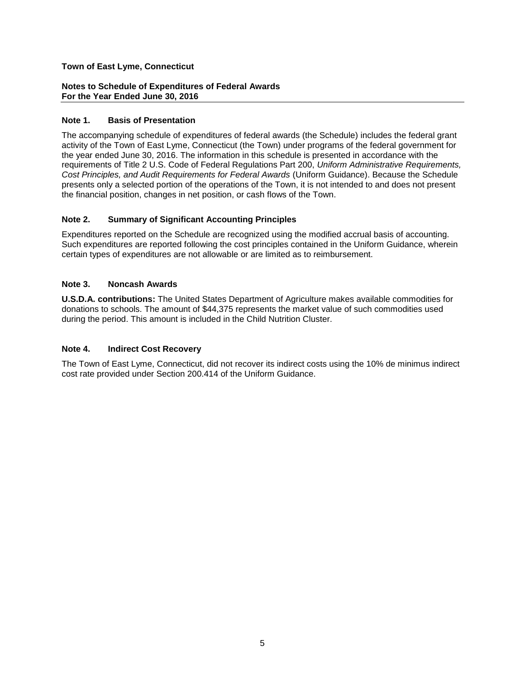# **Notes to Schedule of Expenditures of Federal Awards For the Year Ended June 30, 2016**

# **Note 1. Basis of Presentation**

The accompanying schedule of expenditures of federal awards (the Schedule) includes the federal grant activity of the Town of East Lyme, Connecticut (the Town) under programs of the federal government for the year ended June 30, 2016. The information in this schedule is presented in accordance with the requirements of Title 2 U.S. Code of Federal Regulations Part 200, *Uniform Administrative Requirements, Cost Principles, and Audit Requirements for Federal Awards* (Uniform Guidance). Because the Schedule presents only a selected portion of the operations of the Town, it is not intended to and does not present the financial position, changes in net position, or cash flows of the Town.

# **Note 2. Summary of Significant Accounting Principles**

Expenditures reported on the Schedule are recognized using the modified accrual basis of accounting. Such expenditures are reported following the cost principles contained in the Uniform Guidance, wherein certain types of expenditures are not allowable or are limited as to reimbursement.

# **Note 3. Noncash Awards**

**U.S.D.A. contributions:** The United States Department of Agriculture makes available commodities for donations to schools. The amount of \$44,375 represents the market value of such commodities used during the period. This amount is included in the Child Nutrition Cluster.

# **Note 4. Indirect Cost Recovery**

The Town of East Lyme, Connecticut, did not recover its indirect costs using the 10% de minimus indirect cost rate provided under Section 200.414 of the Uniform Guidance.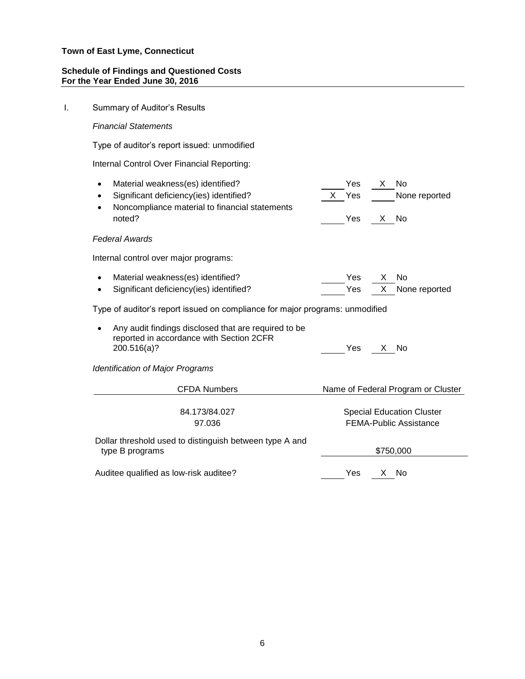# **Schedule of Findings and Questioned Costs For the Year Ended June 30, 2016**

# I. Summary of Auditor's Results

*Financial Statements*

Type of auditor's report issued: unmodified

Internal Control Over Financial Reporting:

| ٠ | Material weakness(es) identified?<br>Significant deficiency (ies) identified?                                   | Yes<br>X Yes | X. | No<br>None reported |
|---|-----------------------------------------------------------------------------------------------------------------|--------------|----|---------------------|
| ٠ | Noncompliance material to financial statements<br>noted?                                                        | Yes          | X. | - No                |
|   | <b>Federal Awards</b>                                                                                           |              |    |                     |
|   | Internal control over major programs:                                                                           |              |    |                     |
| ٠ | Material weakness(es) identified?                                                                               | <b>Yes</b>   | X. | No.                 |
|   | Significant deficiency (ies) identified?                                                                        | Yes          |    | X None reported     |
|   | Type of auditor's report issued on compliance for major programs: unmodified                                    |              |    |                     |
| ٠ | Any audit findings disclosed that are required to be<br>reported in accordance with Section 2CFR<br>200.516(a)? | Yes          |    | No.                 |

*Identification of Major Programs*

| <b>CFDA Numbers</b>                                                        | Name of Federal Program or Cluster                                |
|----------------------------------------------------------------------------|-------------------------------------------------------------------|
| 84.173/84.027<br>97.036                                                    | <b>Special Education Cluster</b><br><b>FEMA-Public Assistance</b> |
| Dollar threshold used to distinguish between type A and<br>type B programs | \$750,000                                                         |
| Auditee qualified as low-risk auditee?                                     | Yes<br>No.                                                        |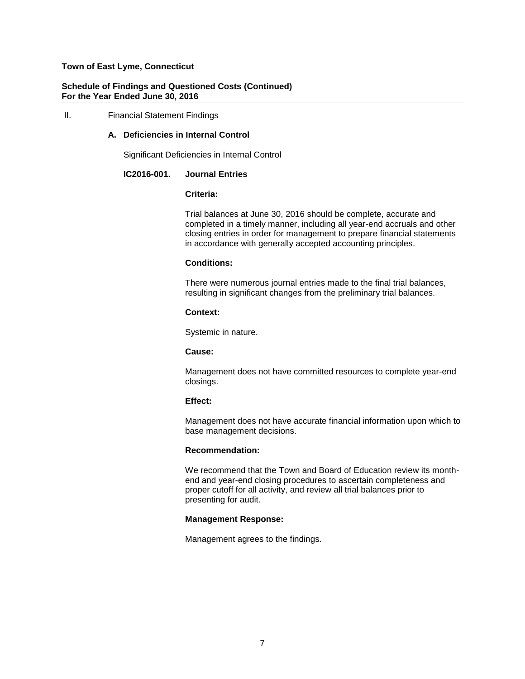#### **Schedule of Findings and Questioned Costs (Continued) For the Year Ended June 30, 2016**

#### II. Financial Statement Findings

# **A. Deficiencies in Internal Control**

Significant Deficiencies in Internal Control

#### **IC2016-001. Journal Entries**

# **Criteria:**

Trial balances at June 30, 2016 should be complete, accurate and completed in a timely manner, including all year-end accruals and other closing entries in order for management to prepare financial statements in accordance with generally accepted accounting principles.

#### **Conditions:**

There were numerous journal entries made to the final trial balances, resulting in significant changes from the preliminary trial balances.

#### **Context:**

Systemic in nature.

# **Cause:**

Management does not have committed resources to complete year-end closings.

# **Effect:**

Management does not have accurate financial information upon which to base management decisions.

#### **Recommendation:**

We recommend that the Town and Board of Education review its monthend and year-end closing procedures to ascertain completeness and proper cutoff for all activity, and review all trial balances prior to presenting for audit.

# **Management Response:**

Management agrees to the findings.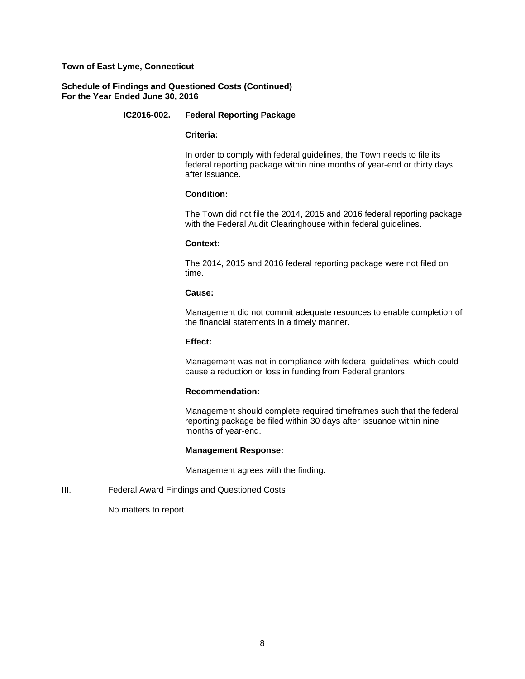# **Schedule of Findings and Questioned Costs (Continued) For the Year Ended June 30, 2016**

#### **IC2016-002. Federal Reporting Package**

#### **Criteria:**

In order to comply with federal guidelines, the Town needs to file its federal reporting package within nine months of year-end or thirty days after issuance.

# **Condition:**

The Town did not file the 2014, 2015 and 2016 federal reporting package with the Federal Audit Clearinghouse within federal guidelines.

#### **Context:**

The 2014, 2015 and 2016 federal reporting package were not filed on time.

# **Cause:**

Management did not commit adequate resources to enable completion of the financial statements in a timely manner.

# **Effect:**

Management was not in compliance with federal guidelines, which could cause a reduction or loss in funding from Federal grantors.

# **Recommendation:**

Management should complete required timeframes such that the federal reporting package be filed within 30 days after issuance within nine months of year-end.

#### **Management Response:**

Management agrees with the finding.

III. Federal Award Findings and Questioned Costs

No matters to report.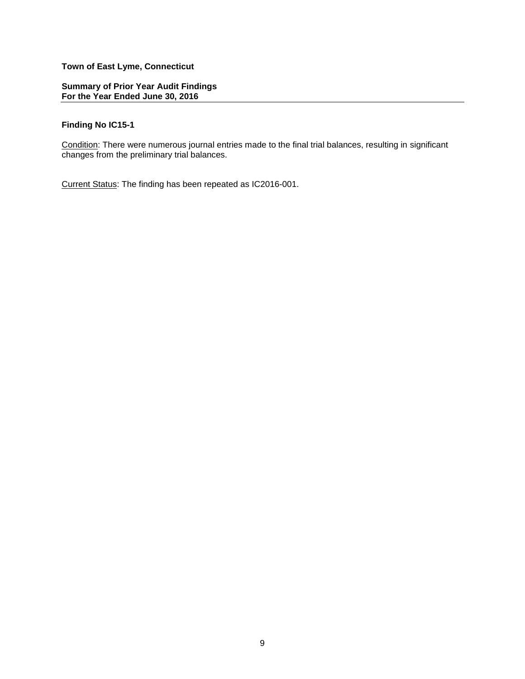#### **Summary of Prior Year Audit Findings For the Year Ended June 30, 2016**

# **Finding No IC15-1**

Condition: There were numerous journal entries made to the final trial balances, resulting in significant changes from the preliminary trial balances.

Current Status: The finding has been repeated as IC2016-001.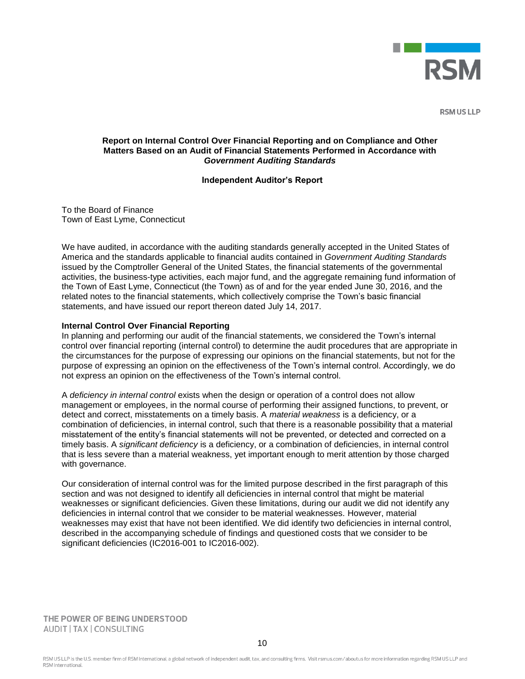

**RSM US LLP** 

# **Report on Internal Control Over Financial Reporting and on Compliance and Other Matters Based on an Audit of Financial Statements Performed in Accordance with**  *Government Auditing Standards*

#### **Independent Auditor's Report**

To the Board of Finance Town of East Lyme, Connecticut

We have audited, in accordance with the auditing standards generally accepted in the United States of America and the standards applicable to financial audits contained in *Government Auditing Standards* issued by the Comptroller General of the United States, the financial statements of the governmental activities, the business-type activities, each major fund, and the aggregate remaining fund information of the Town of East Lyme, Connecticut (the Town) as of and for the year ended June 30, 2016, and the related notes to the financial statements, which collectively comprise the Town's basic financial statements, and have issued our report thereon dated July 14, 2017.

#### **Internal Control Over Financial Reporting**

In planning and performing our audit of the financial statements, we considered the Town's internal control over financial reporting (internal control) to determine the audit procedures that are appropriate in the circumstances for the purpose of expressing our opinions on the financial statements, but not for the purpose of expressing an opinion on the effectiveness of the Town's internal control. Accordingly, we do not express an opinion on the effectiveness of the Town's internal control.

A *deficiency in internal control* exists when the design or operation of a control does not allow management or employees, in the normal course of performing their assigned functions, to prevent, or detect and correct, misstatements on a timely basis. A *material weakness* is a deficiency, or a combination of deficiencies, in internal control, such that there is a reasonable possibility that a material misstatement of the entity's financial statements will not be prevented, or detected and corrected on a timely basis. A *significant deficiency* is a deficiency, or a combination of deficiencies, in internal control that is less severe than a material weakness, yet important enough to merit attention by those charged with governance.

Our consideration of internal control was for the limited purpose described in the first paragraph of this section and was not designed to identify all deficiencies in internal control that might be material weaknesses or significant deficiencies. Given these limitations, during our audit we did not identify any deficiencies in internal control that we consider to be material weaknesses. However, material weaknesses may exist that have not been identified. We did identify two deficiencies in internal control, described in the accompanying schedule of findings and questioned costs that we consider to be significant deficiencies (IC2016-001 to IC2016-002).

THE POWER OF BEING UNDERSTOOD AUDIT | TAX | CONSULTING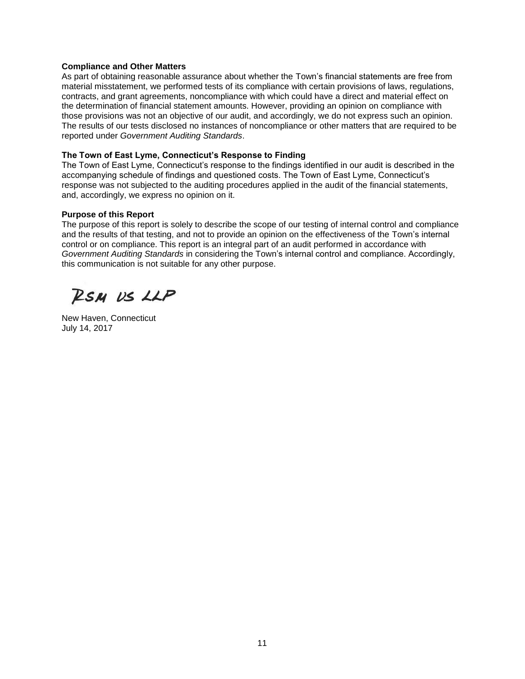# **Compliance and Other Matters**

As part of obtaining reasonable assurance about whether the Town's financial statements are free from material misstatement, we performed tests of its compliance with certain provisions of laws, regulations, contracts, and grant agreements, noncompliance with which could have a direct and material effect on the determination of financial statement amounts. However, providing an opinion on compliance with those provisions was not an objective of our audit, and accordingly, we do not express such an opinion. The results of our tests disclosed no instances of noncompliance or other matters that are required to be reported under *Government Auditing Standards*.

# **The Town of East Lyme, Connecticut's Response to Finding**

The Town of East Lyme, Connecticut's response to the findings identified in our audit is described in the accompanying schedule of findings and questioned costs. The Town of East Lyme, Connecticut's response was not subjected to the auditing procedures applied in the audit of the financial statements, and, accordingly, we express no opinion on it.

# **Purpose of this Report**

The purpose of this report is solely to describe the scope of our testing of internal control and compliance and the results of that testing, and not to provide an opinion on the effectiveness of the Town's internal control or on compliance. This report is an integral part of an audit performed in accordance with *Government Auditing Standards* in considering the Town's internal control and compliance. Accordingly, this communication is not suitable for any other purpose.

RSM US LLP

New Haven, Connecticut July 14, 2017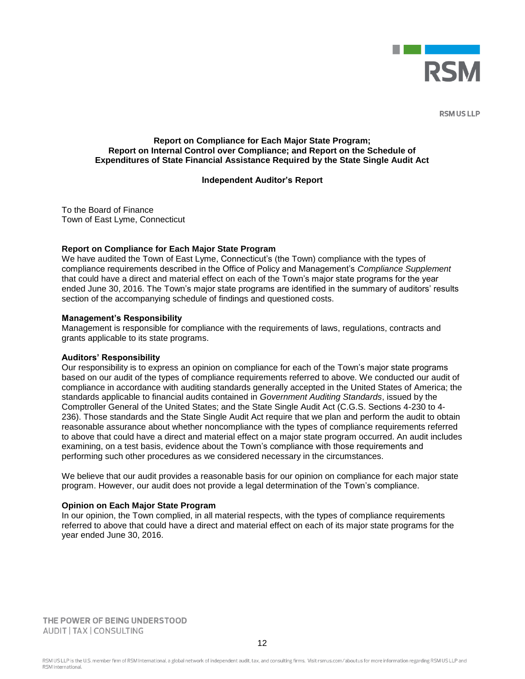

**RSM US LLP** 

#### **Report on Compliance for Each Major State Program; Report on Internal Control over Compliance; and Report on the Schedule of Expenditures of State Financial Assistance Required by the State Single Audit Act**

#### **Independent Auditor's Report**

To the Board of Finance Town of East Lyme, Connecticut

#### **Report on Compliance for Each Major State Program**

We have audited the Town of East Lyme, Connecticut's (the Town) compliance with the types of compliance requirements described in the Office of Policy and Management's *Compliance Supplement*  that could have a direct and material effect on each of the Town's major state programs for the year ended June 30, 2016. The Town's major state programs are identified in the summary of auditors' results section of the accompanying schedule of findings and questioned costs.

#### **Management's Responsibility**

Management is responsible for compliance with the requirements of laws, regulations, contracts and grants applicable to its state programs.

#### **Auditors' Responsibility**

Our responsibility is to express an opinion on compliance for each of the Town's major state programs based on our audit of the types of compliance requirements referred to above. We conducted our audit of compliance in accordance with auditing standards generally accepted in the United States of America; the standards applicable to financial audits contained in *Government Auditing Standards*, issued by the Comptroller General of the United States; and the State Single Audit Act (C.G.S. Sections 4-230 to 4- 236). Those standards and the State Single Audit Act require that we plan and perform the audit to obtain reasonable assurance about whether noncompliance with the types of compliance requirements referred to above that could have a direct and material effect on a major state program occurred. An audit includes examining, on a test basis, evidence about the Town's compliance with those requirements and performing such other procedures as we considered necessary in the circumstances.

We believe that our audit provides a reasonable basis for our opinion on compliance for each major state program. However, our audit does not provide a legal determination of the Town's compliance.

#### **Opinion on Each Major State Program**

In our opinion, the Town complied, in all material respects, with the types of compliance requirements referred to above that could have a direct and material effect on each of its major state programs for the year ended June 30, 2016.

THE POWER OF BEING UNDERSTOOD AUDIT | TAX | CONSULTING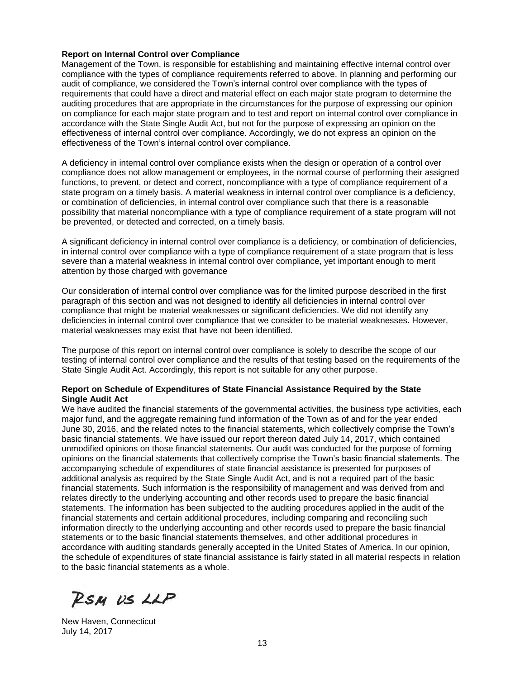#### **Report on Internal Control over Compliance**

Management of the Town, is responsible for establishing and maintaining effective internal control over compliance with the types of compliance requirements referred to above. In planning and performing our audit of compliance, we considered the Town's internal control over compliance with the types of requirements that could have a direct and material effect on each major state program to determine the auditing procedures that are appropriate in the circumstances for the purpose of expressing our opinion on compliance for each major state program and to test and report on internal control over compliance in accordance with the State Single Audit Act, but not for the purpose of expressing an opinion on the effectiveness of internal control over compliance. Accordingly, we do not express an opinion on the effectiveness of the Town's internal control over compliance.

A deficiency in internal control over compliance exists when the design or operation of a control over compliance does not allow management or employees, in the normal course of performing their assigned functions, to prevent, or detect and correct, noncompliance with a type of compliance requirement of a state program on a timely basis. A material weakness in internal control over compliance is a deficiency, or combination of deficiencies, in internal control over compliance such that there is a reasonable possibility that material noncompliance with a type of compliance requirement of a state program will not be prevented, or detected and corrected, on a timely basis.

A significant deficiency in internal control over compliance is a deficiency, or combination of deficiencies, in internal control over compliance with a type of compliance requirement of a state program that is less severe than a material weakness in internal control over compliance, yet important enough to merit attention by those charged with governance

Our consideration of internal control over compliance was for the limited purpose described in the first paragraph of this section and was not designed to identify all deficiencies in internal control over compliance that might be material weaknesses or significant deficiencies. We did not identify any deficiencies in internal control over compliance that we consider to be material weaknesses. However, material weaknesses may exist that have not been identified.

The purpose of this report on internal control over compliance is solely to describe the scope of our testing of internal control over compliance and the results of that testing based on the requirements of the State Single Audit Act. Accordingly, this report is not suitable for any other purpose.

#### **Report on Schedule of Expenditures of State Financial Assistance Required by the State Single Audit Act**

We have audited the financial statements of the governmental activities, the business type activities, each major fund, and the aggregate remaining fund information of the Town as of and for the year ended June 30, 2016, and the related notes to the financial statements, which collectively comprise the Town's basic financial statements. We have issued our report thereon dated July 14, 2017, which contained unmodified opinions on those financial statements. Our audit was conducted for the purpose of forming opinions on the financial statements that collectively comprise the Town's basic financial statements. The accompanying schedule of expenditures of state financial assistance is presented for purposes of additional analysis as required by the State Single Audit Act, and is not a required part of the basic financial statements. Such information is the responsibility of management and was derived from and relates directly to the underlying accounting and other records used to prepare the basic financial statements. The information has been subjected to the auditing procedures applied in the audit of the financial statements and certain additional procedures, including comparing and reconciling such information directly to the underlying accounting and other records used to prepare the basic financial statements or to the basic financial statements themselves, and other additional procedures in accordance with auditing standards generally accepted in the United States of America. In our opinion, the schedule of expenditures of state financial assistance is fairly stated in all material respects in relation to the basic financial statements as a whole.

RSM US LLP

New Haven, Connecticut July 14, 2017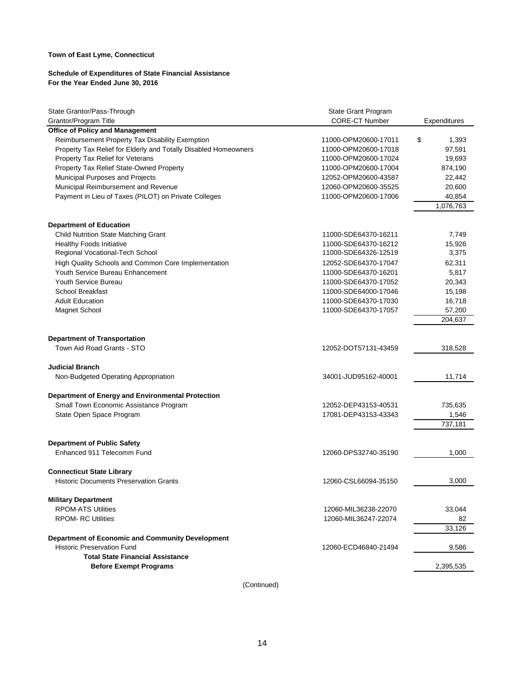#### **Schedule of Expenditures of State Financial Assistance For the Year Ended June 30, 2016**

| State Grantor/Pass-Through                                      | State Grant Program   |              |
|-----------------------------------------------------------------|-----------------------|--------------|
| Grantor/Program Title                                           | <b>CORE-CT Number</b> | Expenditures |
| <b>Office of Policy and Management</b>                          |                       |              |
| Reimbursement Property Tax Disability Exemption                 | 11000-OPM20600-17011  | \$<br>1,393  |
| Property Tax Relief for Elderly and Totally Disabled Homeowners | 11000-OPM20600-17018  | 97,591       |
| Property Tax Relief for Veterans                                | 11000-OPM20600-17024  | 19,693       |
| Property Tax Relief State-Owned Property                        | 11000-OPM20600-17004  | 874,190      |
| Municipal Purposes and Projects                                 | 12052-OPM20600-43587  | 22,442       |
| Municipal Reimbursement and Revenue                             | 12060-OPM20600-35525  | 20,600       |
| Payment in Lieu of Taxes (PILOT) on Private Colleges            | 11000-OPM20600-17006  | 40,854       |
|                                                                 |                       | 1,076,763    |
|                                                                 |                       |              |
| <b>Department of Education</b>                                  |                       |              |
| <b>Child Nutrition State Matching Grant</b>                     | 11000-SDE64370-16211  | 7,749        |
| <b>Healthy Foods Initiative</b>                                 | 11000-SDE64370-16212  | 15,926       |
| Regional Vocational-Tech School                                 | 11000-SDE64326-12519  | 3,375        |
| High Quality Schools and Common Core Implementation             | 12052-SDE64370-17047  | 62,311       |
| Youth Service Bureau Enhancement                                | 11000-SDE64370-16201  | 5,817        |
| Youth Service Bureau                                            | 11000-SDE64370-17052  | 20,343       |
| School Breakfast                                                | 11000-SDE64000-17046  | 15,198       |
| <b>Adult Education</b>                                          | 11000-SDE64370-17030  | 16,718       |
| Magnet School                                                   | 11000-SDE64370-17057  | 57,200       |
|                                                                 |                       | 204,637      |
|                                                                 |                       |              |
| <b>Department of Transportation</b>                             |                       |              |
| Town Aid Road Grants - STO                                      | 12052-DOT57131-43459  | 318,528      |
|                                                                 |                       |              |
| <b>Judicial Branch</b>                                          |                       |              |
| Non-Budgeted Operating Appropriation                            | 34001-JUD95162-40001  | 11,714       |
|                                                                 |                       |              |
| Department of Energy and Environmental Protection               |                       |              |
| Small Town Economic Assistance Program                          | 12052-DEP43153-40531  | 735,635      |
| State Open Space Program                                        | 17081-DEP43153-43343  | 1,546        |
|                                                                 |                       | 737,181      |
|                                                                 |                       |              |
| <b>Department of Public Safety</b>                              |                       |              |
| Enhanced 911 Telecomm Fund                                      | 12060-DPS32740-35190  | 1,000        |
|                                                                 |                       |              |
| <b>Connecticut State Library</b>                                |                       |              |
| <b>Historic Documents Preservation Grants</b>                   | 12060-CSL66094-35150  | 3,000        |
|                                                                 |                       |              |
| <b>Military Department</b>                                      |                       |              |
| <b>RPOM-ATS Utilities</b>                                       | 12060-MIL36238-22070  | 33,044       |
| <b>RPOM-RC Utilities</b>                                        | 12060-MIL36247-22074  | 82           |
|                                                                 |                       | 33,126       |
| Department of Economic and Community Development                |                       |              |
| <b>Historic Preservation Fund</b>                               | 12060-ECD46840-21494  | 9,586        |
| <b>Total State Financial Assistance</b>                         |                       |              |
| <b>Before Exempt Programs</b>                                   |                       | 2,395,535    |
|                                                                 |                       |              |

(Continued)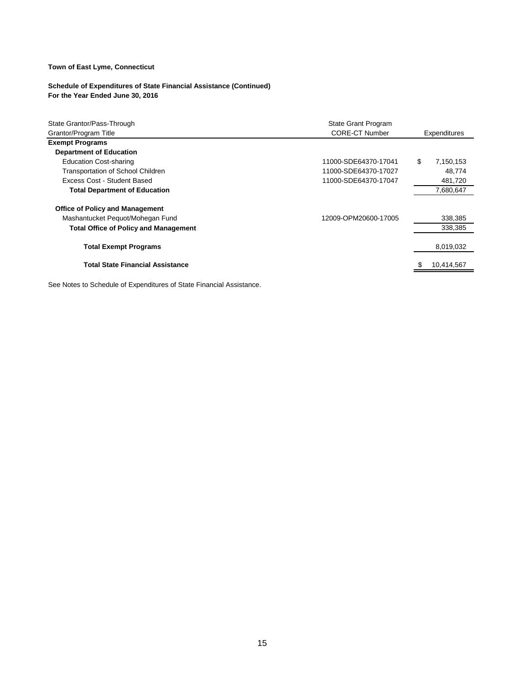#### **Schedule of Expenditures of State Financial Assistance (Continued) For the Year Ended June 30, 2016**

| State Grantor/Pass-Through                   | <b>State Grant Program</b> |     |              |
|----------------------------------------------|----------------------------|-----|--------------|
| Grantor/Program Title                        | <b>CORE-CT Number</b>      |     | Expenditures |
| <b>Exempt Programs</b>                       |                            |     |              |
| <b>Department of Education</b>               |                            |     |              |
| <b>Education Cost-sharing</b>                | 11000-SDE64370-17041       | \$. | 7,150,153    |
| <b>Transportation of School Children</b>     | 11000-SDE64370-17027       |     | 48,774       |
| Excess Cost - Student Based                  | 11000-SDE64370-17047       |     | 481,720      |
| <b>Total Department of Education</b>         |                            |     | 7,680,647    |
| <b>Office of Policy and Management</b>       |                            |     |              |
| Mashantucket Pequot/Mohegan Fund             | 12009-OPM20600-17005       |     | 338,385      |
| <b>Total Office of Policy and Management</b> |                            |     | 338,385      |
| <b>Total Exempt Programs</b>                 |                            |     | 8,019,032    |
| <b>Total State Financial Assistance</b>      |                            |     | 10,414,567   |
|                                              |                            |     |              |

See Notes to Schedule of Expenditures of State Financial Assistance.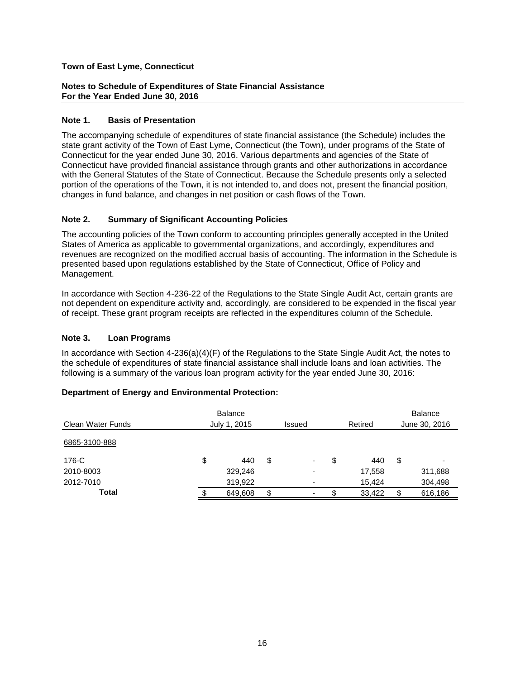# **Notes to Schedule of Expenditures of State Financial Assistance For the Year Ended June 30, 2016**

# **Note 1. Basis of Presentation**

The accompanying schedule of expenditures of state financial assistance (the Schedule) includes the state grant activity of the Town of East Lyme, Connecticut (the Town), under programs of the State of Connecticut for the year ended June 30, 2016. Various departments and agencies of the State of Connecticut have provided financial assistance through grants and other authorizations in accordance with the General Statutes of the State of Connecticut. Because the Schedule presents only a selected portion of the operations of the Town, it is not intended to, and does not, present the financial position, changes in fund balance, and changes in net position or cash flows of the Town.

# **Note 2. Summary of Significant Accounting Policies**

The accounting policies of the Town conform to accounting principles generally accepted in the United States of America as applicable to governmental organizations, and accordingly, expenditures and revenues are recognized on the modified accrual basis of accounting. The information in the Schedule is presented based upon regulations established by the State of Connecticut, Office of Policy and Management.

In accordance with Section 4-236-22 of the Regulations to the State Single Audit Act, certain grants are not dependent on expenditure activity and, accordingly, are considered to be expended in the fiscal year of receipt. These grant program receipts are reflected in the expenditures column of the Schedule.

# **Note 3. Loan Programs**

In accordance with Section 4-236(a)(4)(F) of the Regulations to the State Single Audit Act, the notes to the schedule of expenditures of state financial assistance shall include loans and loan activities. The following is a summary of the various loan program activity for the year ended June 30, 2016:

# **Department of Energy and Environmental Protection:**

|                   |                               | <b>Balance</b> |         |                          |               |        | <b>Balance</b> |
|-------------------|-------------------------------|----------------|---------|--------------------------|---------------|--------|----------------|
| Clean Water Funds | July 1, 2015<br><b>Issued</b> |                | Retired |                          | June 30, 2016 |        |                |
| 6865-3100-888     |                               |                |         |                          |               |        |                |
| 176-C             | \$                            | 440            | \$      | $\overline{\phantom{a}}$ | \$            | 440    | \$             |
| 2010-8003         |                               | 329,246        |         | ۰                        |               | 17,558 | 311,688        |
| 2012-7010         |                               | 319.922        |         | ٠                        |               | 15.424 | 304,498        |
| <b>Total</b>      |                               | 649,608        | \$      | $\overline{\phantom{a}}$ |               | 33,422 | \$<br>616,186  |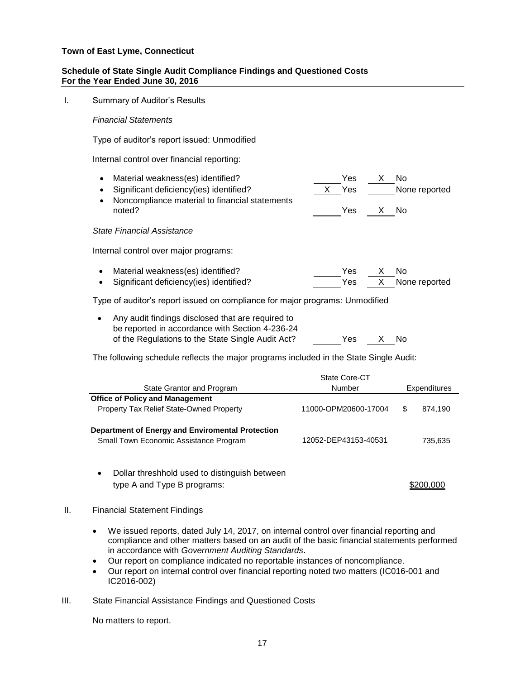# **Schedule of State Single Audit Compliance Findings and Questioned Costs For the Year Ended June 30, 2016**

# I. Summary of Auditor's Results

*Financial Statements*

Type of auditor's report issued: Unmodified

Internal control over financial reporting:

| Material weakness(es) identified?<br>$\bullet$<br>Significant deficiency(ies) identified?<br>$\bullet$ | Yes<br>Yes | No.<br>None reported |
|--------------------------------------------------------------------------------------------------------|------------|----------------------|
| Noncompliance material to financial statements<br>$\bullet$<br>noted?                                  | Yes        | No.                  |
| <b>State Financial Assistance</b>                                                                      |            |                      |
| Internal control over major programs:                                                                  |            |                      |

| • Material weakness(es) identified?       | Yes X No |                 |
|-------------------------------------------|----------|-----------------|
| • Significant deficiency(ies) identified? | Yes      | X None reported |

Type of auditor's report issued on compliance for major programs: Unmodified

| • Any audit findings disclosed that are required to |      |     |
|-----------------------------------------------------|------|-----|
| be reported in accordance with Section 4-236-24     |      |     |
| of the Regulations to the State Single Audit Act?   | Yes. | No. |

The following schedule reflects the major programs included in the State Single Audit:

|                                                  | State Core-CT        |     |              |
|--------------------------------------------------|----------------------|-----|--------------|
| State Grantor and Program                        | Number               |     | Expenditures |
| <b>Office of Policy and Management</b>           |                      |     |              |
| Property Tax Relief State-Owned Property         | 11000-OPM20600-17004 | \$. | 874.190      |
| Department of Energy and Enviromental Protection |                      |     |              |
| Small Town Economic Assistance Program           | 12052-DEP43153-40531 |     | 735.635      |
|                                                  |                      |     |              |

 Dollar threshhold used to distinguish between type A and Type B programs:  $$200,000$ 

# II. Financial Statement Findings

- We issued reports, dated July 14, 2017, on internal control over financial reporting and compliance and other matters based on an audit of the basic financial statements performed in accordance with *Government Auditing Standards*.
- Our report on compliance indicated no reportable instances of noncompliance.
- Our report on internal control over financial reporting noted two matters (IC016-001 and IC2016-002)
- III. State Financial Assistance Findings and Questioned Costs

No matters to report.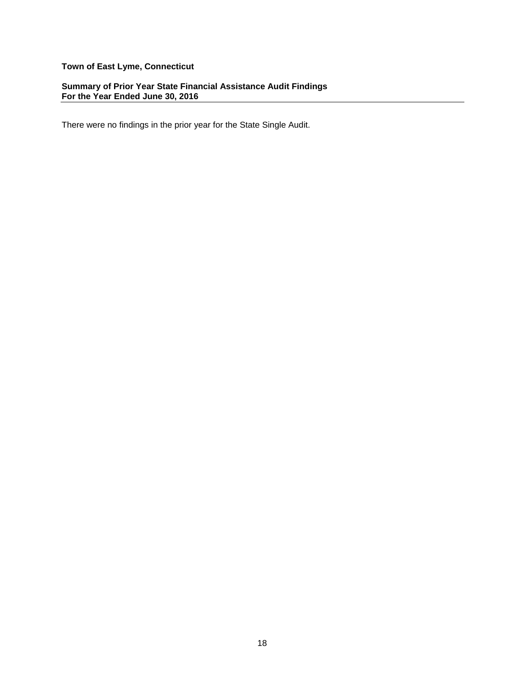# **Summary of Prior Year State Financial Assistance Audit Findings For the Year Ended June 30, 2016**

There were no findings in the prior year for the State Single Audit.